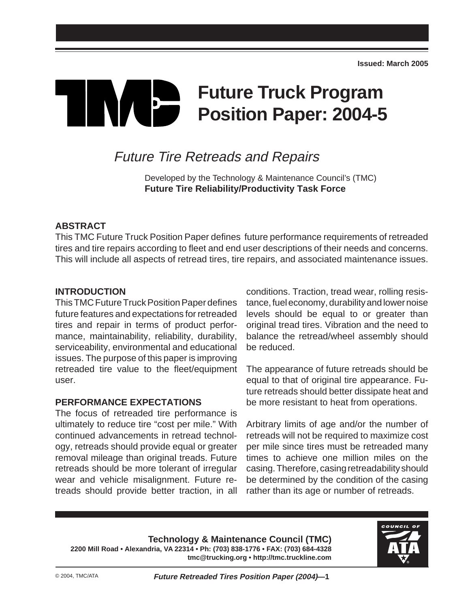# **Future Truck Program** TINA 2 **Position Paper: 2004-5**

## Future Tire Retreads and Repairs

Developed by the Technology & Maintenance Council's (TMC) **Future Tire Reliability/Productivity Task Force**

## **ABSTRACT**

This TMC Future Truck Position Paper defines future performance requirements of retreaded tires and tire repairs according to fleet and end user descriptions of their needs and concerns. This will include all aspects of retread tires, tire repairs, and associated maintenance issues.

#### **INTRODUCTION**

This TMC Future Truck Position Paper defines future features and expectations for retreaded tires and repair in terms of product performance, maintainability, reliability, durability, serviceability, environmental and educational issues. The purpose of this paper is improving retreaded tire value to the fleet/equipment user.

#### **PERFORMANCE EXPECTATIONS**

The focus of retreaded tire performance is ultimately to reduce tire "cost per mile." With continued advancements in retread technology, retreads should provide equal or greater removal mileage than original treads. Future retreads should be more tolerant of irregular wear and vehicle misalignment. Future retreads should provide better traction, in all

conditions. Traction, tread wear, rolling resistance, fuel economy, durability and lower noise levels should be equal to or greater than original tread tires. Vibration and the need to balance the retread/wheel assembly should be reduced.

The appearance of future retreads should be equal to that of original tire appearance. Future retreads should better dissipate heat and be more resistant to heat from operations.

Arbitrary limits of age and/or the number of retreads will not be required to maximize cost per mile since tires must be retreaded many times to achieve one million miles on the casing. Therefore, casing retreadability should be determined by the condition of the casing rather than its age or number of retreads.

**Technology & Maintenance Council (TMC) 2200 Mill Road • Alexandria, VA 22314 • Ph: (703) 838-1776 • FAX: (703) 684-4328 tmc@trucking.org • http://tmc.truckline.com**

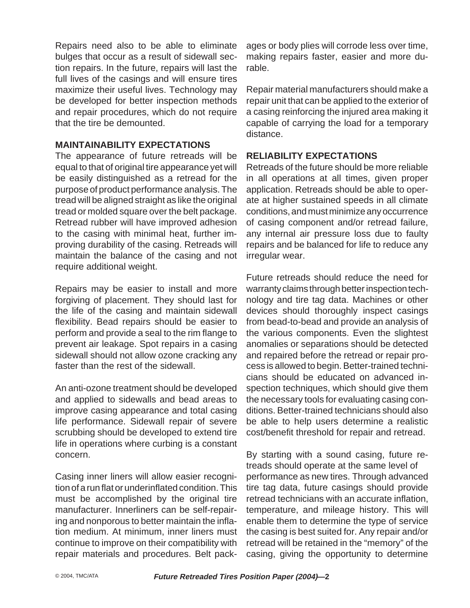Repairs need also to be able to eliminate bulges that occur as a result of sidewall section repairs. In the future, repairs will last the full lives of the casings and will ensure tires maximize their useful lives. Technology may be developed for better inspection methods and repair procedures, which do not require that the tire be demounted.

#### **MAINTAINABILITY EXPECTATIONS**

The appearance of future retreads will be equal to that of original tire appearance yet will be easily distinguished as a retread for the purpose of product performance analysis. The tread will be aligned straight as like the original tread or molded square over the belt package. Retread rubber will have improved adhesion to the casing with minimal heat, further improving durability of the casing. Retreads will maintain the balance of the casing and not require additional weight.

Repairs may be easier to install and more forgiving of placement. They should last for the life of the casing and maintain sidewall flexibility. Bead repairs should be easier to perform and provide a seal to the rim flange to prevent air leakage. Spot repairs in a casing sidewall should not allow ozone cracking any faster than the rest of the sidewall.

An anti-ozone treatment should be developed and applied to sidewalls and bead areas to improve casing appearance and total casing life performance. Sidewall repair of severe scrubbing should be developed to extend tire life in operations where curbing is a constant concern.

Casing inner liners will allow easier recognition of a run flat or underinflated condition. This must be accomplished by the original tire manufacturer. Innerliners can be self-repairing and nonporous to better maintain the inflation medium. At minimum, inner liners must continue to improve on their compatibility with repair materials and procedures. Belt packages or body plies will corrode less over time, making repairs faster, easier and more durable.

Repair material manufacturers should make a repair unit that can be applied to the exterior of a casing reinforcing the injured area making it capable of carrying the load for a temporary distance.

#### **RELIABILITY EXPECTATIONS**

Retreads of the future should be more reliable in all operations at all times, given proper application. Retreads should be able to operate at higher sustained speeds in all climate conditions, and must minimize any occurrence of casing component and/or retread failure, any internal air pressure loss due to faulty repairs and be balanced for life to reduce any irregular wear.

Future retreads should reduce the need for warranty claims through better inspection technology and tire tag data. Machines or other devices should thoroughly inspect casings from bead-to-bead and provide an analysis of the various components. Even the slightest anomalies or separations should be detected and repaired before the retread or repair process is allowed to begin. Better-trained technicians should be educated on advanced inspection techniques, which should give them the necessary tools for evaluating casing conditions. Better-trained technicians should also be able to help users determine a realistic cost/benefit threshold for repair and retread.

By starting with a sound casing, future retreads should operate at the same level of performance as new tires. Through advanced tire tag data, future casings should provide retread technicians with an accurate inflation, temperature, and mileage history. This will enable them to determine the type of service the casing is best suited for. Any repair and/or retread will be retained in the "memory" of the casing, giving the opportunity to determine